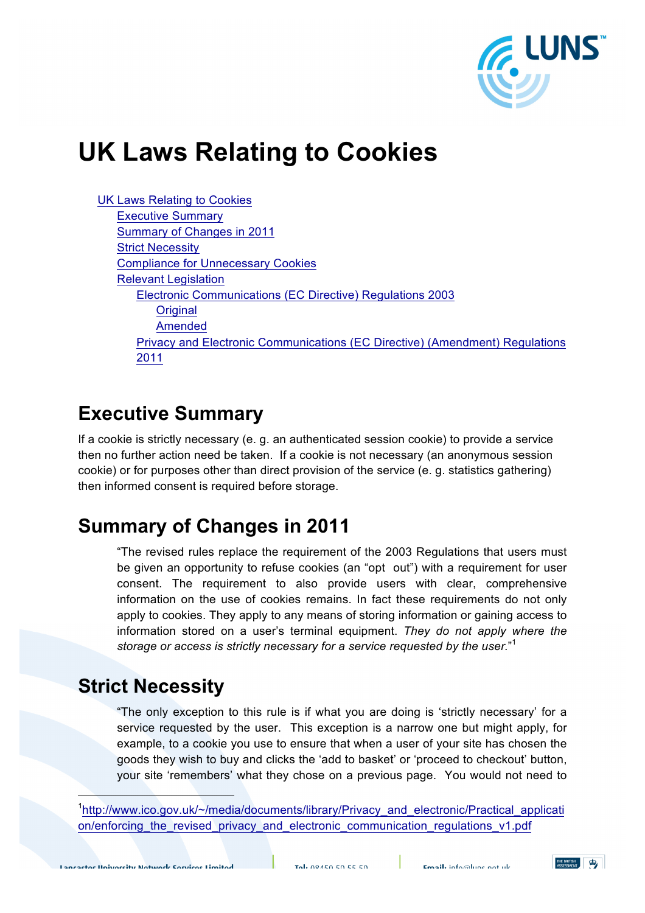

# **UK Laws Relating to Cookies**

UK Laws Relating to Cookies

Executive Summary Summary of Changes in 2011 Strict Necessity Compliance for Unnecessary Cookies Relevant Legislation Electronic Communications (EC Directive) Regulations 2003 **Original** Amended Privacy and Electronic Communications (EC Directive) (Amendment) Regulations 2011

# **Executive Summary**

If a cookie is strictly necessary (e. g. an authenticated session cookie) to provide a service then no further action need be taken. If a cookie is not necessary (an anonymous session cookie) or for purposes other than direct provision of the service (e. g. statistics gathering) then informed consent is required before storage.

# **Summary of Changes in 2011**

"The revised rules replace the requirement of the 2003 Regulations that users must be given an opportunity to refuse cookies (an "opt out") with a requirement for user consent. The requirement to also provide users with clear, comprehensive information on the use of cookies remains. In fact these requirements do not only apply to cookies. They apply to any means of storing information or gaining access to information stored on a user's terminal equipment. *They do not apply where the storage or access is strictly necessary for a service requested by the user.*" 1

# **Strict Necessity**

"The only exception to this rule is if what you are doing is 'strictly necessary' for a service requested by the user. This exception is a narrow one but might apply, for example, to a cookie you use to ensure that when a user of your site has chosen the goods they wish to buy and clicks the 'add to basket' or 'proceed to checkout' button, your site 'remembers' what they chose on a previous page. You would not need to



 $\overline{1}$ <sup>1</sup>http://www.ico.gov.uk/~/media/documents/library/Privacy\_and\_electronic/Practical\_applicati on/enforcing the revised privacy and electronic communication regulations v1.pdf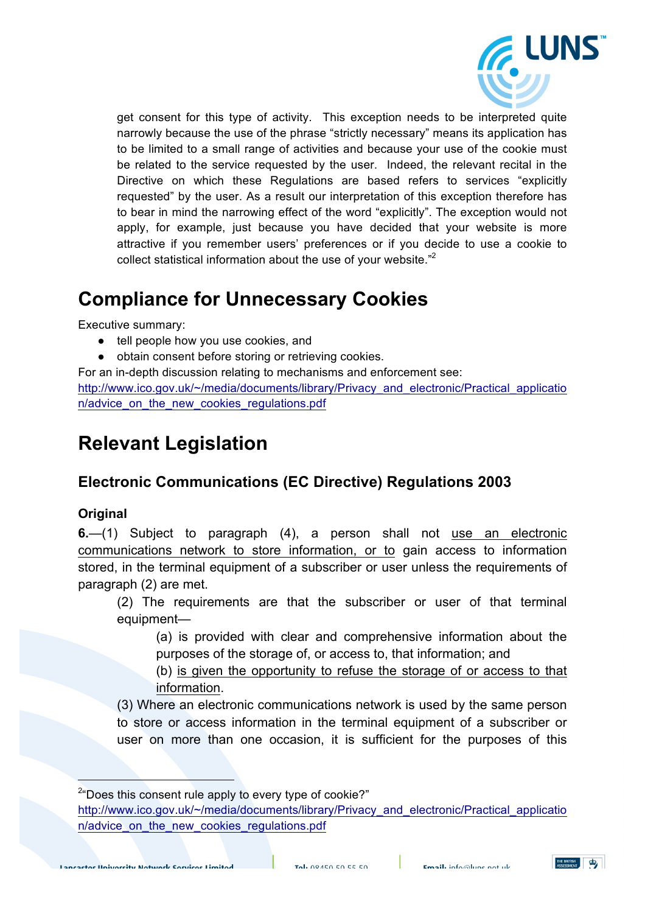

get consent for this type of activity. This exception needs to be interpreted quite narrowly because the use of the phrase "strictly necessary" means its application has to be limited to a small range of activities and because your use of the cookie must be related to the service requested by the user. Indeed, the relevant recital in the Directive on which these Regulations are based refers to services "explicitly requested" by the user. As a result our interpretation of this exception therefore has to bear in mind the narrowing effect of the word "explicitly". The exception would not apply, for example, just because you have decided that your website is more attractive if you remember users' preferences or if you decide to use a cookie to collect statistical information about the use of your website."<sup>2</sup>

### **Compliance for Unnecessary Cookies**

Executive summary:

- tell people how you use cookies, and
- obtain consent before storing or retrieving cookies.

For an in-depth discussion relating to mechanisms and enforcement see:

http://www.ico.gov.uk/~/media/documents/library/Privacy\_and\_electronic/Practical\_applicatio n/advice\_on\_the\_new\_cookies\_regulations.pdf

### **Relevant Legislation**

#### **Electronic Communications (EC Directive) Regulations 2003**

#### **Original**

**6.**—(1) Subject to paragraph (4), a person shall not use an electronic communications network to store information, or to gain access to information stored, in the terminal equipment of a subscriber or user unless the requirements of paragraph (2) are met.

(2) The requirements are that the subscriber or user of that terminal equipment—

(a) is provided with clear and comprehensive information about the purposes of the storage of, or access to, that information; and

(b) is given the opportunity to refuse the storage of or access to that information.

(3) Where an electronic communications network is used by the same person to store or access information in the terminal equipment of a subscriber or user on more than one occasion, it is sufficient for the purposes of this

 $\overline{2}$ <sup>2"</sup>Does this consent rule apply to every type of cookie?"

http://www.ico.gov.uk/~/media/documents/library/Privacy\_and\_electronic/Practical\_applicatio n/advice\_on\_the\_new\_cookies\_regulations.pdf

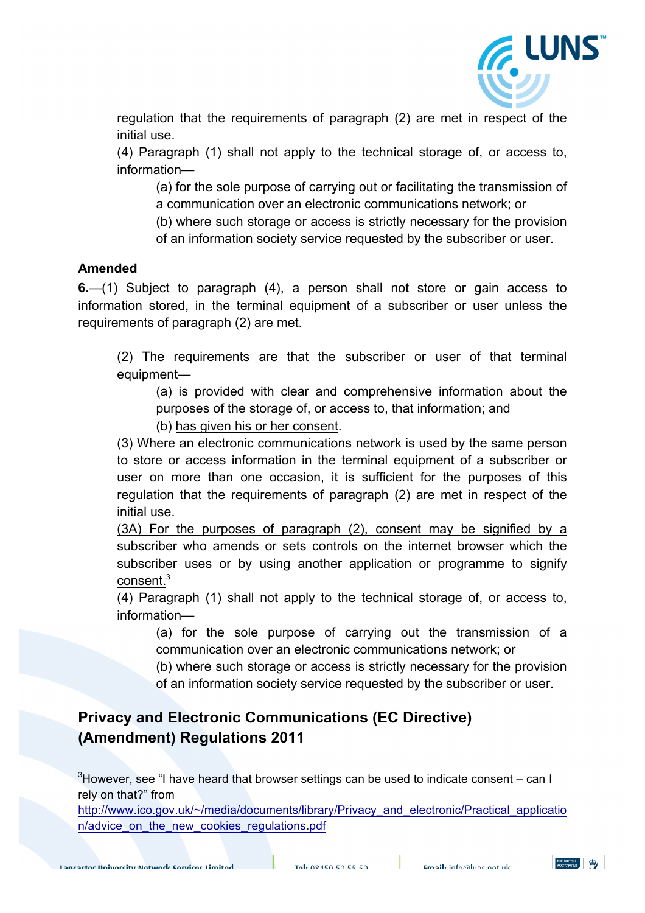

regulation that the requirements of paragraph (2) are met in respect of the initial use.

(4) Paragraph (1) shall not apply to the technical storage of, or access to, information—

(a) for the sole purpose of carrying out or facilitating the transmission of a communication over an electronic communications network; or

(b) where such storage or access is strictly necessary for the provision of an information society service requested by the subscriber or user.

#### **Amended**

**6.**—(1) Subject to paragraph (4), a person shall not store or gain access to information stored, in the terminal equipment of a subscriber or user unless the requirements of paragraph (2) are met.

(2) The requirements are that the subscriber or user of that terminal equipment—

(a) is provided with clear and comprehensive information about the purposes of the storage of, or access to, that information; and

(b) has given his or her consent.

(3) Where an electronic communications network is used by the same person to store or access information in the terminal equipment of a subscriber or user on more than one occasion, it is sufficient for the purposes of this regulation that the requirements of paragraph (2) are met in respect of the initial use.

(3A) For the purposes of paragraph (2), consent may be signified by a subscriber who amends or sets controls on the internet browser which the subscriber uses or by using another application or programme to signify consent.<sup>3</sup>

(4) Paragraph (1) shall not apply to the technical storage of, or access to, information—

(a) for the sole purpose of carrying out the transmission of a communication over an electronic communications network; or

(b) where such storage or access is strictly necessary for the provision of an information society service requested by the subscriber or user.

#### **Privacy and Electronic Communications (EC Directive) (Amendment) Regulations 2011**

 3  $3$ However, see "I have heard that browser settings can be used to indicate consent – can I rely on that?" from

http://www.ico.gov.uk/~/media/documents/library/Privacy\_and\_electronic/Practical\_applicatio n/advice\_on\_the\_new\_cookies\_regulations.pdf